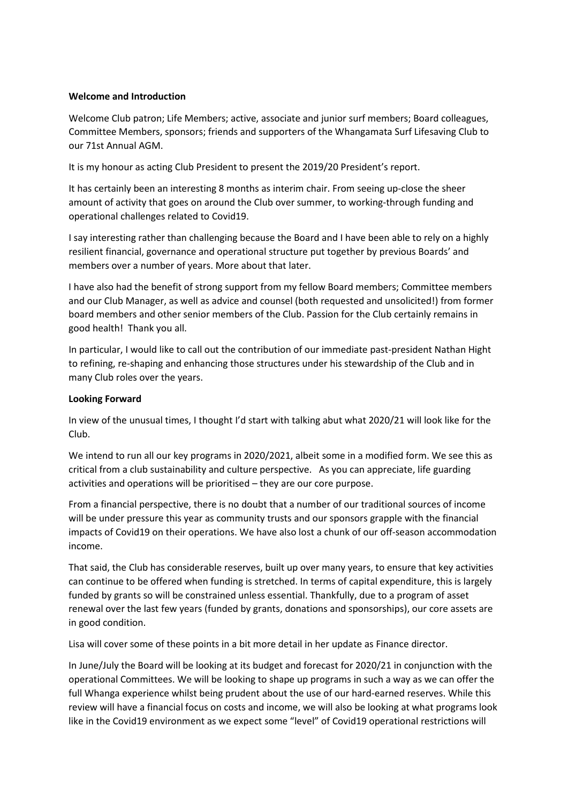### **Welcome and Introduction**

Welcome Club patron; Life Members; active, associate and junior surf members; Board colleagues, Committee Members, sponsors; friends and supporters of the Whangamata Surf Lifesaving Club to our 71st Annual AGM.

It is my honour as acting Club President to present the 2019/20 President's report.

It has certainly been an interesting 8 months as interim chair. From seeing up-close the sheer amount of activity that goes on around the Club over summer, to working-through funding and operational challenges related to Covid19.

I say interesting rather than challenging because the Board and I have been able to rely on a highly resilient financial, governance and operational structure put together by previous Boards' and members over a number of years. More about that later.

I have also had the benefit of strong support from my fellow Board members; Committee members and our Club Manager, as well as advice and counsel (both requested and unsolicited!) from former board members and other senior members of the Club. Passion for the Club certainly remains in good health! Thank you all.

In particular, I would like to call out the contribution of our immediate past-president Nathan Hight to refining, re-shaping and enhancing those structures under his stewardship of the Club and in many Club roles over the years.

### **Looking Forward**

In view of the unusual times, I thought I'd start with talking abut what 2020/21 will look like for the Club.

We intend to run all our key programs in 2020/2021, albeit some in a modified form. We see this as critical from a club sustainability and culture perspective. As you can appreciate, life guarding activities and operations will be prioritised – they are our core purpose.

From a financial perspective, there is no doubt that a number of our traditional sources of income will be under pressure this year as community trusts and our sponsors grapple with the financial impacts of Covid19 on their operations. We have also lost a chunk of our off-season accommodation income.

That said, the Club has considerable reserves, built up over many years, to ensure that key activities can continue to be offered when funding is stretched. In terms of capital expenditure, this is largely funded by grants so will be constrained unless essential. Thankfully, due to a program of asset renewal over the last few years (funded by grants, donations and sponsorships), our core assets are in good condition.

Lisa will cover some of these points in a bit more detail in her update as Finance director.

In June/July the Board will be looking at its budget and forecast for 2020/21 in conjunction with the operational Committees. We will be looking to shape up programs in such a way as we can offer the full Whanga experience whilst being prudent about the use of our hard-earned reserves. While this review will have a financial focus on costs and income, we will also be looking at what programs look like in the Covid19 environment as we expect some "level" of Covid19 operational restrictions will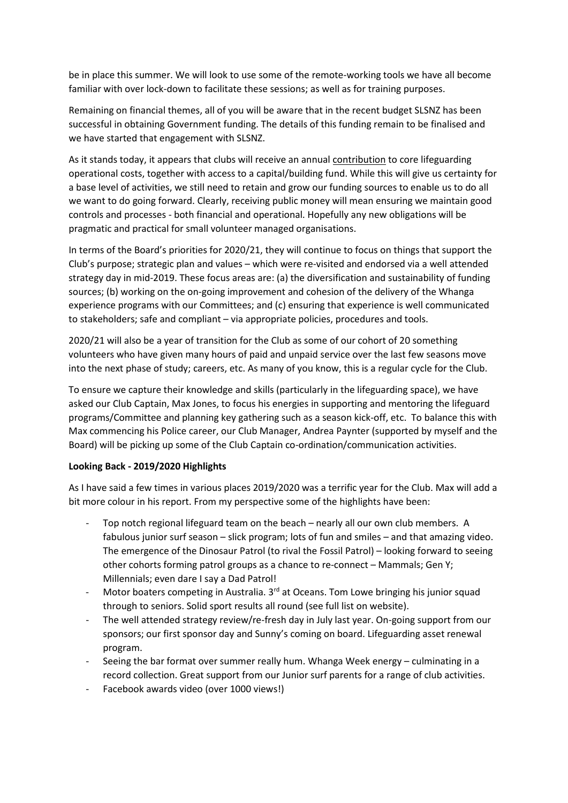be in place this summer. We will look to use some of the remote-working tools we have all become familiar with over lock-down to facilitate these sessions; as well as for training purposes.

Remaining on financial themes, all of you will be aware that in the recent budget SLSNZ has been successful in obtaining Government funding. The details of this funding remain to be finalised and we have started that engagement with SLSNZ.

As it stands today, it appears that clubs will receive an annual contribution to core lifeguarding operational costs, together with access to a capital/building fund. While this will give us certainty for a base level of activities, we still need to retain and grow our funding sources to enable us to do all we want to do going forward. Clearly, receiving public money will mean ensuring we maintain good controls and processes - both financial and operational. Hopefully any new obligations will be pragmatic and practical for small volunteer managed organisations.

In terms of the Board's priorities for 2020/21, they will continue to focus on things that support the Club's purpose; strategic plan and values – which were re-visited and endorsed via a well attended strategy day in mid-2019. These focus areas are: (a) the diversification and sustainability of funding sources; (b) working on the on-going improvement and cohesion of the delivery of the Whanga experience programs with our Committees; and (c) ensuring that experience is well communicated to stakeholders; safe and compliant – via appropriate policies, procedures and tools.

2020/21 will also be a year of transition for the Club as some of our cohort of 20 something volunteers who have given many hours of paid and unpaid service over the last few seasons move into the next phase of study; careers, etc. As many of you know, this is a regular cycle for the Club.

To ensure we capture their knowledge and skills (particularly in the lifeguarding space), we have asked our Club Captain, Max Jones, to focus his energies in supporting and mentoring the lifeguard programs/Committee and planning key gathering such as a season kick-off, etc. To balance this with Max commencing his Police career, our Club Manager, Andrea Paynter (supported by myself and the Board) will be picking up some of the Club Captain co-ordination/communication activities.

# **Looking Back - 2019/2020 Highlights**

As I have said a few times in various places 2019/2020 was a terrific year for the Club. Max will add a bit more colour in his report. From my perspective some of the highlights have been:

- Top notch regional lifeguard team on the beach nearly all our own club members. A fabulous junior surf season – slick program; lots of fun and smiles – and that amazing video. The emergence of the Dinosaur Patrol (to rival the Fossil Patrol) – looking forward to seeing other cohorts forming patrol groups as a chance to re-connect – Mammals; Gen Y; Millennials; even dare I say a Dad Patrol!
- Motor boaters competing in Australia. 3<sup>rd</sup> at Oceans. Tom Lowe bringing his junior squad through to seniors. Solid sport results all round (see full list on website).
- The well attended strategy review/re-fresh day in July last year. On-going support from our sponsors; our first sponsor day and Sunny's coming on board. Lifeguarding asset renewal program.
- Seeing the bar format over summer really hum. Whanga Week energy culminating in a record collection. Great support from our Junior surf parents for a range of club activities.
- Facebook awards video (over 1000 views!)